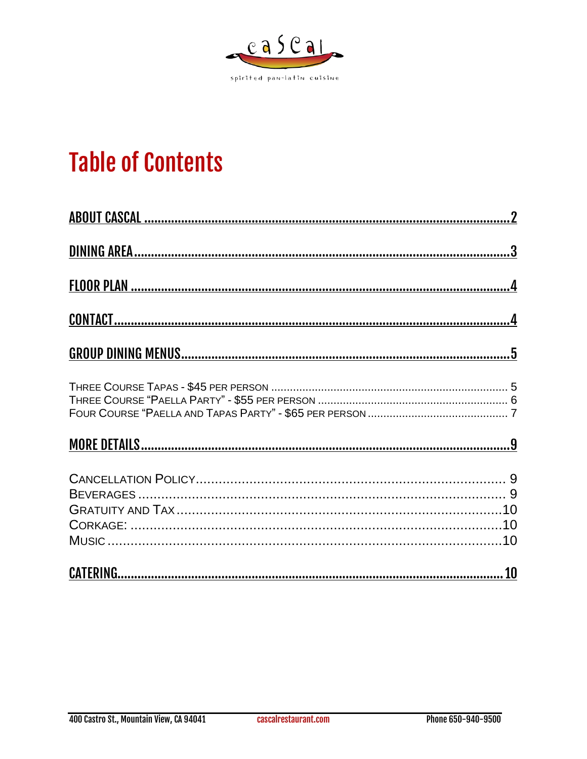

# **Table of Contents**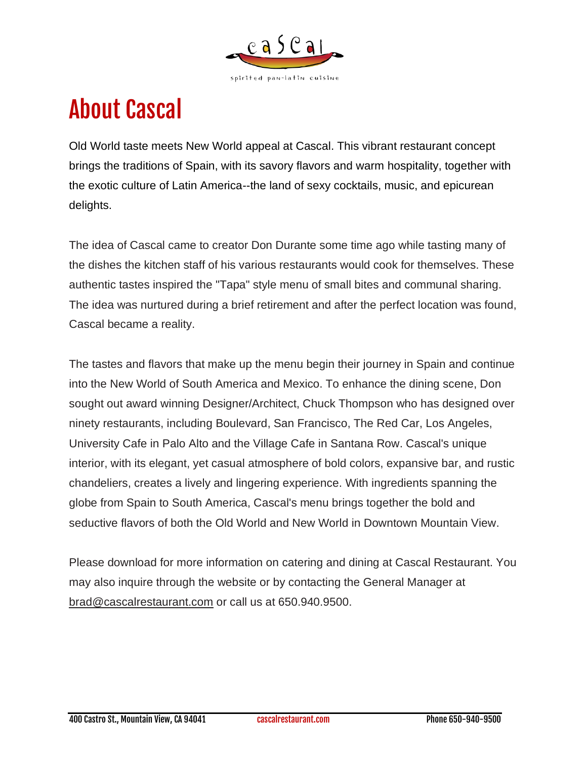

# <span id="page-1-0"></span>About Cascal

Old World taste meets New World appeal at Cascal. This vibrant restaurant concept brings the traditions of Spain, with its savory flavors and warm hospitality, together with the exotic culture of Latin America--the land of sexy cocktails, music, and epicurean delights.

The idea of Cascal came to creator Don Durante some time ago while tasting many of the dishes the kitchen staff of his various restaurants would cook for themselves. These authentic tastes inspired the "Tapa" style menu of small bites and communal sharing. The idea was nurtured during a brief retirement and after the perfect location was found, Cascal became a reality.

The tastes and flavors that make up the menu begin their journey in Spain and continue into the New World of South America and Mexico. To enhance the dining scene, Don sought out award winning Designer/Architect, Chuck Thompson who has designed over ninety restaurants, including Boulevard, San Francisco, The Red Car, Los Angeles, University Cafe in Palo Alto and the Village Cafe in Santana Row. Cascal's unique interior, with its elegant, yet casual atmosphere of bold colors, expansive bar, and rustic chandeliers, creates a lively and lingering experience. With ingredients spanning the globe from Spain to South America, Cascal's menu brings together the bold and seductive flavors of both the Old World and New World in Downtown Mountain View.

Please download for more information on catering and dining at Cascal Restaurant. You may also inquire through the website or by contacting the General Manager at [brad@cascalrestaurant.com](mailto:brad@cascalrestaurant.com) or call us at 650.940.9500.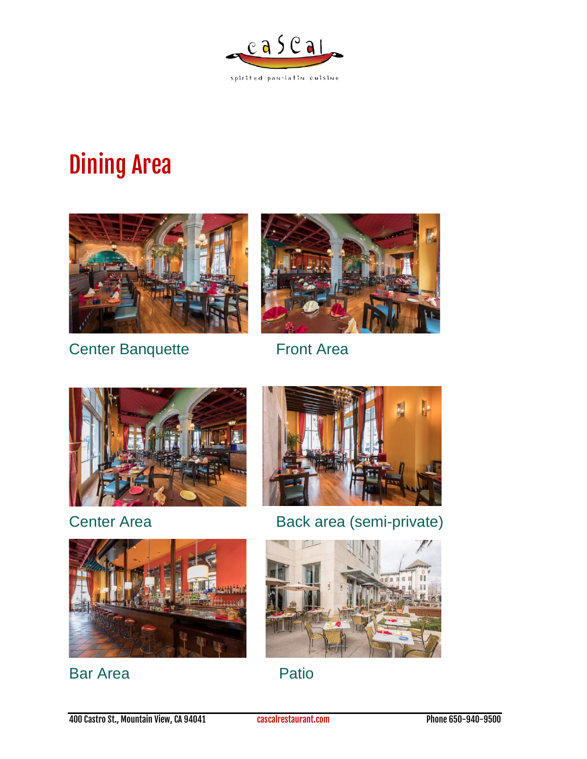

# <span id="page-2-0"></span>Dining Area



Center Banquette Front Area







Center Area **Back area (semi-private)** 



Bar Area **Patio** 

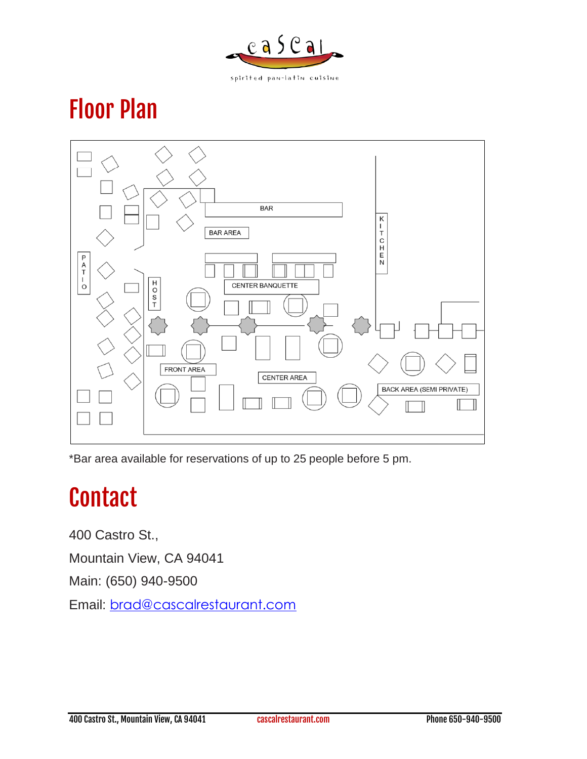

# <span id="page-3-0"></span>Floor Plan



\*Bar area available for reservations of up to 25 people before 5 pm.

## <span id="page-3-1"></span>**Contact**

400 Castro St.,

Mountain View, CA 94041

Main: (650) 940-9500

Email: [brad@cascalrestaurant.com](mailto:brad@cascalrestaurant.com)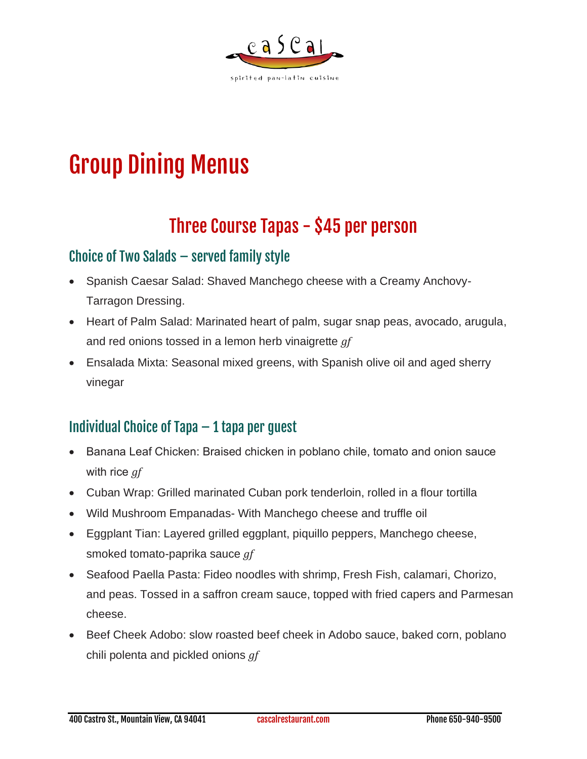

# <span id="page-4-0"></span>Group Dining Menus

### Three Course Tapas - \$45 per person

### <span id="page-4-1"></span>Choice of Two Salads – served family style

- Spanish Caesar Salad: Shaved Manchego cheese with a Creamy Anchovy-Tarragon Dressing.
- Heart of Palm Salad: Marinated heart of palm, sugar snap peas, avocado, arugula, and red onions tossed in a lemon herb vinaigrette *gf*
- Ensalada Mixta: Seasonal mixed greens, with Spanish olive oil and aged sherry vinegar

### Individual Choice of Tapa – 1 tapa per guest

- Banana Leaf Chicken: Braised chicken in poblano chile, tomato and onion sauce with rice *gf*
- Cuban Wrap: Grilled marinated Cuban pork tenderloin, rolled in a flour tortilla
- Wild Mushroom Empanadas- With Manchego cheese and truffle oil
- Eggplant Tian: Layered grilled eggplant, piquillo peppers, Manchego cheese, smoked tomato-paprika sauce *gf*
- Seafood Paella Pasta: Fideo noodles with shrimp, Fresh Fish, calamari, Chorizo, and peas. Tossed in a saffron cream sauce, topped with fried capers and Parmesan cheese.
- Beef Cheek Adobo: slow roasted beef cheek in Adobo sauce, baked corn, poblano chili polenta and pickled onions *gf*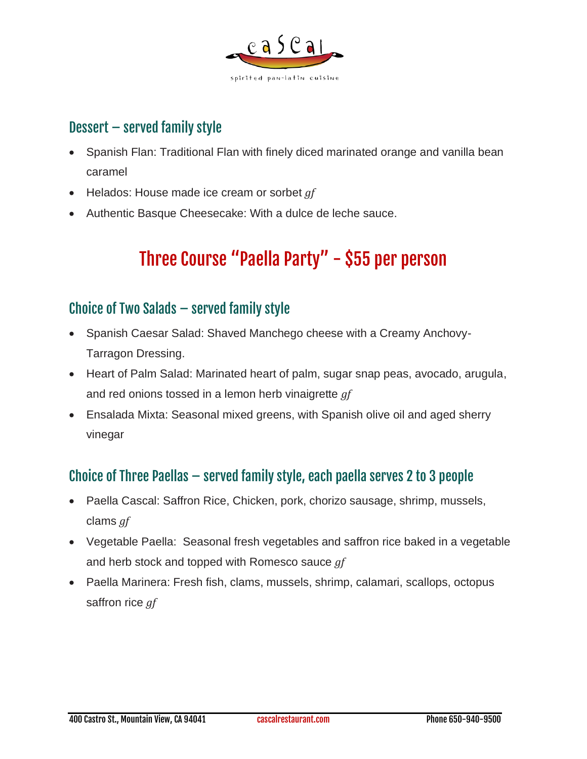

#### Dessert – served family style

- Spanish Flan: Traditional Flan with finely diced marinated orange and vanilla bean caramel
- Helados: House made ice cream or sorbet *gf*
- <span id="page-5-0"></span>• Authentic Basque Cheesecake: With a dulce de leche sauce.

### Three Course "Paella Party" - \$55 per person

#### Choice of Two Salads – served family style

- Spanish Caesar Salad: Shaved Manchego cheese with a Creamy Anchovy-Tarragon Dressing.
- Heart of Palm Salad: Marinated heart of palm, sugar snap peas, avocado, arugula, and red onions tossed in a lemon herb vinaigrette *gf*
- Ensalada Mixta: Seasonal mixed greens, with Spanish olive oil and aged sherry vinegar

### Choice of Three Paellas – served family style, each paella serves 2 to 3 people

- Paella Cascal: Saffron Rice, Chicken, pork, chorizo sausage, shrimp, mussels, clams *gf*
- Vegetable Paella: Seasonal fresh vegetables and saffron rice baked in a vegetable and herb stock and topped with Romesco sauce *gf*
- Paella Marinera: Fresh fish, clams, mussels, shrimp, calamari, scallops, octopus saffron rice *gf*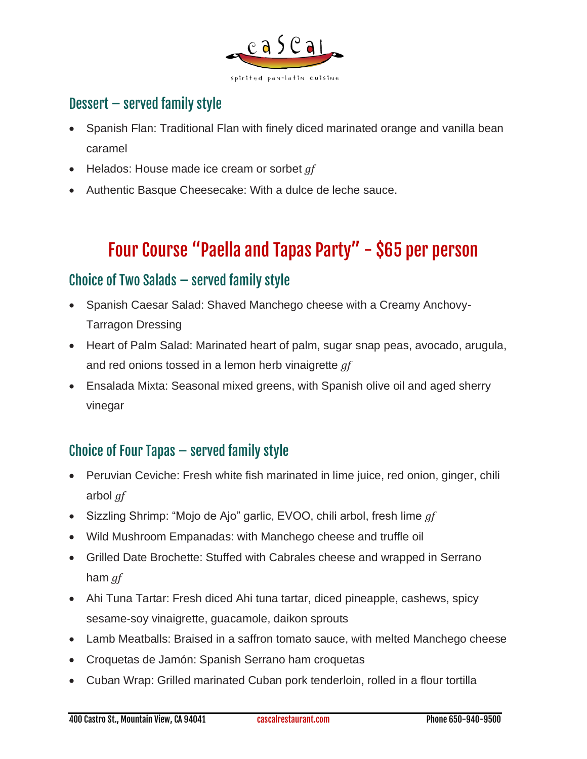

### Dessert – served family style

- Spanish Flan: Traditional Flan with finely diced marinated orange and vanilla bean caramel
- Helados: House made ice cream or sorbet *gf*
- Authentic Basque Cheesecake: With a dulce de leche sauce.

### Four Course "Paella and Tapas Party" - \$65 per person

#### <span id="page-6-0"></span>Choice of Two Salads – served family style

- Spanish Caesar Salad: Shaved Manchego cheese with a Creamy Anchovy-Tarragon Dressing
- Heart of Palm Salad: Marinated heart of palm, sugar snap peas, avocado, arugula, and red onions tossed in a lemon herb vinaigrette *gf*
- Ensalada Mixta: Seasonal mixed greens, with Spanish olive oil and aged sherry vinegar

### Choice of Four Tapas – served family style

- Peruvian Ceviche: Fresh white fish marinated in lime juice, red onion, ginger, chili arbol *gf*
- Sizzling Shrimp: "Mojo de Ajo" garlic, EVOO, chili arbol, fresh lime *gf*
- Wild Mushroom Empanadas: with Manchego cheese and truffle oil
- Grilled Date Brochette: Stuffed with Cabrales cheese and wrapped in Serrano ham *gf*
- Ahi Tuna Tartar: Fresh diced Ahi tuna tartar, diced pineapple, cashews, spicy sesame-soy vinaigrette, guacamole, daikon sprouts
- Lamb Meatballs: Braised in a saffron tomato sauce, with melted Manchego cheese
- Croquetas de Jamón: Spanish Serrano ham croquetas
- Cuban Wrap: Grilled marinated Cuban pork tenderloin, rolled in a flour tortilla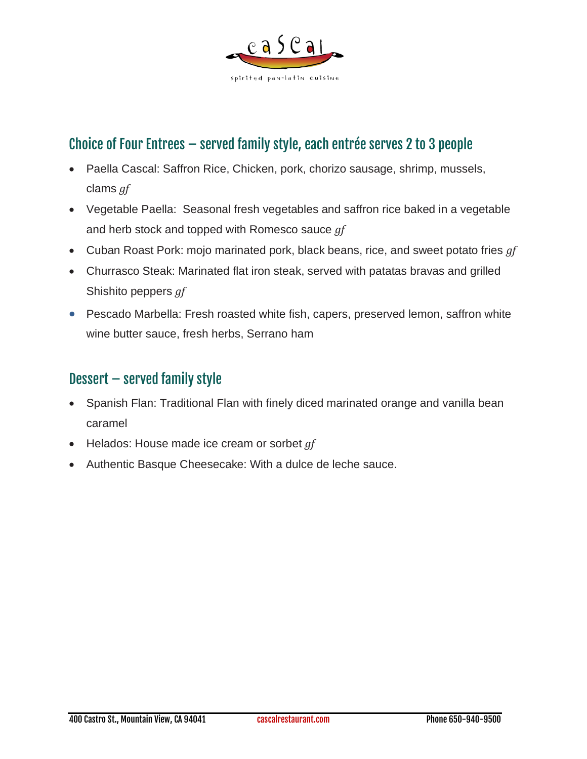

### Choice of Four Entrees – served family style, each entrée serves 2 to 3 people

- Paella Cascal: Saffron Rice, Chicken, pork, chorizo sausage, shrimp, mussels, clams *gf*
- Vegetable Paella: Seasonal fresh vegetables and saffron rice baked in a vegetable and herb stock and topped with Romesco sauce *gf*
- Cuban Roast Pork: mojo marinated pork, black beans, rice, and sweet potato fries *gf*
- Churrasco Steak: Marinated flat iron steak, served with patatas bravas and grilled Shishito peppers *gf*
- Pescado Marbella: Fresh roasted white fish, capers, preserved lemon, saffron white wine butter sauce, fresh herbs, Serrano ham

#### Dessert – served family style

- Spanish Flan: Traditional Flan with finely diced marinated orange and vanilla bean caramel
- Helados: House made ice cream or sorbet *gf*
- Authentic Basque Cheesecake: With a dulce de leche sauce.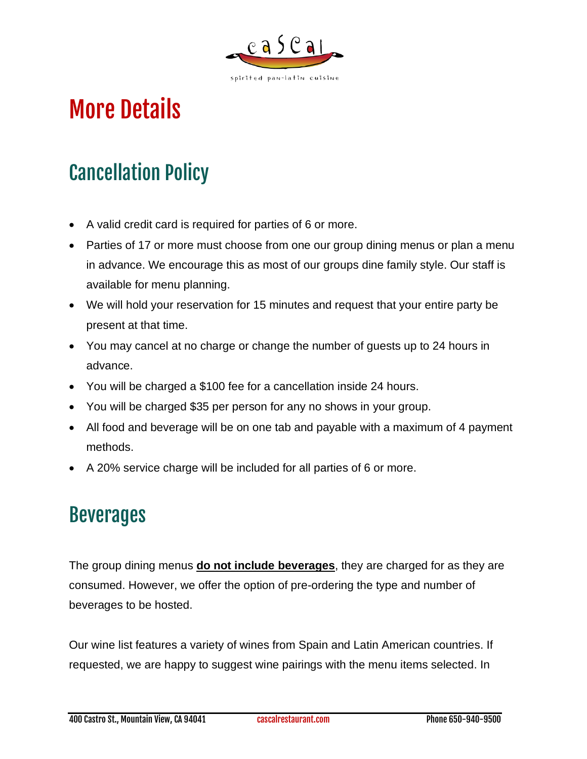

# <span id="page-8-0"></span>More Details

## <span id="page-8-1"></span>Cancellation Policy

- A valid credit card is required for parties of 6 or more.
- Parties of 17 or more must choose from one our group dining menus or plan a menu in advance. We encourage this as most of our groups dine family style. Our staff is available for menu planning.
- We will hold your reservation for 15 minutes and request that your entire party be present at that time.
- You may cancel at no charge or change the number of guests up to 24 hours in advance.
- You will be charged a \$100 fee for a cancellation inside 24 hours.
- You will be charged \$35 per person for any no shows in your group.
- All food and beverage will be on one tab and payable with a maximum of 4 payment methods.
- A 20% service charge will be included for all parties of 6 or more.

### <span id="page-8-2"></span>Beverages

The group dining menus **do not include beverages**, they are charged for as they are consumed. However, we offer the option of pre-ordering the type and number of beverages to be hosted.

Our wine list features a variety of wines from Spain and Latin American countries. If requested, we are happy to suggest wine pairings with the menu items selected. In